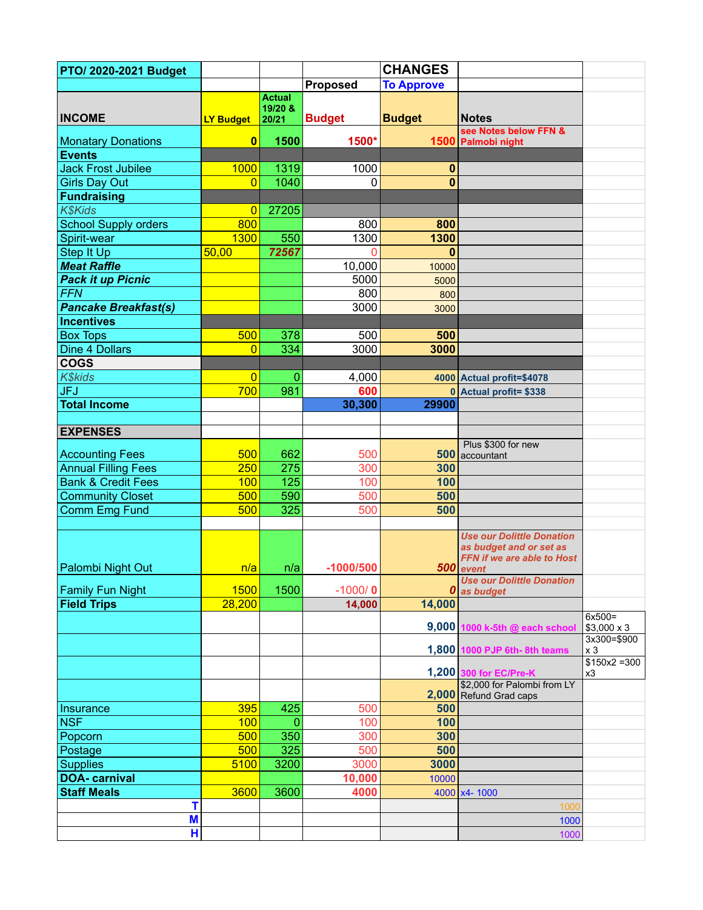| PTO/ 2020-2021 Budget         |                  |                  |                 | <b>CHANGES</b>    |                                                       |                                |
|-------------------------------|------------------|------------------|-----------------|-------------------|-------------------------------------------------------|--------------------------------|
|                               |                  |                  | <b>Proposed</b> | <b>To Approve</b> |                                                       |                                |
|                               |                  | <b>Actual</b>    |                 |                   |                                                       |                                |
| <b>INCOME</b>                 | <b>LY Budget</b> | 19/20 &<br>20/21 | <b>Budget</b>   | <b>Budget</b>     | <b>Notes</b>                                          |                                |
|                               |                  |                  |                 |                   | see Notes below FFN &                                 |                                |
| <b>Monatary Donations</b>     | $\mathbf{0}$     | 1500             | 1500*           |                   | 1500 Palmobi night                                    |                                |
| <b>Events</b>                 |                  |                  |                 |                   |                                                       |                                |
| <b>Jack Frost Jubilee</b>     | 1000             | 1319             | 1000            | 0                 |                                                       |                                |
| <b>Girls Day Out</b>          | $\overline{0}$   | 1040             | 0               | 0                 |                                                       |                                |
| <b>Fundraising</b>            |                  |                  |                 |                   |                                                       |                                |
| <b>K\$Kids</b>                | 0                | 27205            |                 |                   |                                                       |                                |
| <b>School Supply orders</b>   | 800              |                  | 800             | 800               |                                                       |                                |
| Spirit-wear                   | 1300             | 550              | 1300            | 1300              |                                                       |                                |
| Step It Up                    | 50,00            | 72567            | 0               | 0                 |                                                       |                                |
| <b>Meat Raffle</b>            |                  |                  | 10,000          | 10000             |                                                       |                                |
| <b>Pack it up Picnic</b>      |                  |                  | 5000            | 5000              |                                                       |                                |
| <b>FFN</b>                    |                  |                  | 800             | 800               |                                                       |                                |
| <b>Pancake Breakfast(s)</b>   |                  |                  | 3000            | 3000              |                                                       |                                |
| <b>Incentives</b>             |                  |                  |                 |                   |                                                       |                                |
| <b>Box Tops</b>               | 500              | 378              | 500             | 500               |                                                       |                                |
| <b>Dine 4 Dollars</b>         | $\overline{0}$   | 334              | 3000            | 3000              |                                                       |                                |
| <b>COGS</b>                   |                  |                  |                 |                   |                                                       |                                |
| <b>K\$kids</b>                | 0                | $\overline{0}$   | 4,000           |                   | 4000 Actual profit=\$4078                             |                                |
| <b>JFJ</b>                    | 700              | 981              | 600             |                   | 0 Actual profit= \$338                                |                                |
| <b>Total Income</b>           |                  |                  | 30,300          | 29900             |                                                       |                                |
| <b>EXPENSES</b>               |                  |                  |                 |                   |                                                       |                                |
|                               |                  |                  |                 |                   | Plus \$300 for new                                    |                                |
| <b>Accounting Fees</b>        | 500              | 662              | 500             |                   | 500 accountant                                        |                                |
| <b>Annual Filling Fees</b>    | 250              | 275              | 300             | 300               |                                                       |                                |
| <b>Bank &amp; Credit Fees</b> | 100              | 125              | 100             | 100               |                                                       |                                |
| <b>Community Closet</b>       | 500              | 590              | 500             | 500               |                                                       |                                |
| Comm Emg Fund                 | 500              | 325              | 500             | 500               |                                                       |                                |
|                               |                  |                  |                 |                   |                                                       |                                |
|                               |                  |                  |                 |                   | <b>Use our Dolittle Donation</b>                      |                                |
|                               |                  |                  |                 |                   | as budget and or set as<br>FFN if we are able to Host |                                |
| Palombi Night Out             | n/a              | n/a              | $-1000/500$     |                   | 500 event                                             |                                |
|                               |                  |                  |                 |                   | <b>Use our Dolittle Donation</b>                      |                                |
| <b>Family Fun Night</b>       | 1500             | 1500             | $-1000/0$       |                   | $\boldsymbol{0}$ as budget                            |                                |
| <b>Field Trips</b>            | 28,200           |                  | 14,000          | 14,000            |                                                       |                                |
|                               |                  |                  |                 |                   | 9,000 1000 k-5th @ each school                        | $6x500 =$<br>$$3,000 \times 3$ |
|                               |                  |                  |                 |                   |                                                       | 3x300=\$900                    |
|                               |                  |                  |                 |                   | 1,800 1000 PJP 6th-8th teams                          | x <sub>3</sub>                 |
|                               |                  |                  |                 |                   |                                                       | $$150x2 = 300$                 |
|                               |                  |                  |                 |                   | 1,200 300 for EC/Pre-K<br>\$2,000 for Palombi from LY | x3                             |
|                               |                  |                  |                 |                   | 2,000 Refund Grad caps                                |                                |
| Insurance                     | 395              | 425              | 500             | 500               |                                                       |                                |
| <b>NSF</b>                    | 100              | $\overline{0}$   | 100             | 100               |                                                       |                                |
| Popcorn                       | 500              | 350              | 300             | 300               |                                                       |                                |
| Postage                       | 500              | 325              | 500             | 500               |                                                       |                                |
| <b>Supplies</b>               | 5100             | 3200             | 3000            | 3000              |                                                       |                                |
| <b>DOA-</b> carnival          |                  |                  | 10,000          | 10000             |                                                       |                                |
| <b>Staff Meals</b>            | 3600             | 3600             | 4000            |                   | 4000 x4-1000                                          |                                |
| т                             |                  |                  |                 |                   | 1000                                                  |                                |
| M                             |                  |                  |                 |                   | 1000                                                  |                                |
| H                             |                  |                  |                 |                   | 1000                                                  |                                |